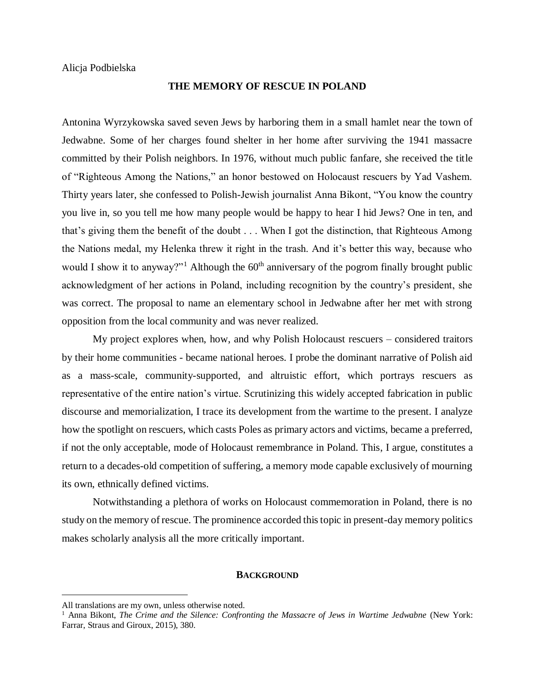Alicja Podbielska

# **THE MEMORY OF RESCUE IN POLAND**

Antonina Wyrzykowska saved seven Jews by harboring them in a small hamlet near the town of Jedwabne. Some of her charges found shelter in her home after surviving the 1941 massacre committed by their Polish neighbors. In 1976, without much public fanfare, she received the title of "Righteous Among the Nations," an honor bestowed on Holocaust rescuers by Yad Vashem. Thirty years later, she confessed to Polish-Jewish journalist Anna Bikont, "You know the country you live in, so you tell me how many people would be happy to hear I hid Jews? One in ten, and that's giving them the benefit of the doubt . . . When I got the distinction, that Righteous Among the Nations medal, my Helenka threw it right in the trash. And it's better this way, because who would I show it to anyway?"<sup>1</sup> Although the  $60<sup>th</sup>$  anniversary of the pogrom finally brought public acknowledgment of her actions in Poland, including recognition by the country's president, she was correct. The proposal to name an elementary school in Jedwabne after her met with strong opposition from the local community and was never realized.

My project explores when, how, and why Polish Holocaust rescuers – considered traitors by their home communities - became national heroes. I probe the dominant narrative of Polish aid as a mass-scale, community-supported, and altruistic effort, which portrays rescuers as representative of the entire nation's virtue. Scrutinizing this widely accepted fabrication in public discourse and memorialization, I trace its development from the wartime to the present. I analyze how the spotlight on rescuers, which casts Poles as primary actors and victims, became a preferred, if not the only acceptable, mode of Holocaust remembrance in Poland. This, I argue, constitutes a return to a decades-old competition of suffering, a memory mode capable exclusively of mourning its own, ethnically defined victims.

Notwithstanding a plethora of works on Holocaust commemoration in Poland, there is no study on the memory of rescue. The prominence accorded this topic in present-day memory politics makes scholarly analysis all the more critically important.

#### **BACKGROUND**

 $\overline{a}$ 

All translations are my own, unless otherwise noted.

<sup>&</sup>lt;sup>1</sup> Anna Bikont, *The Crime and the Silence: Confronting the Massacre of Jews in Wartime Jedwabne* (New York: Farrar, Straus and Giroux, 2015), 380.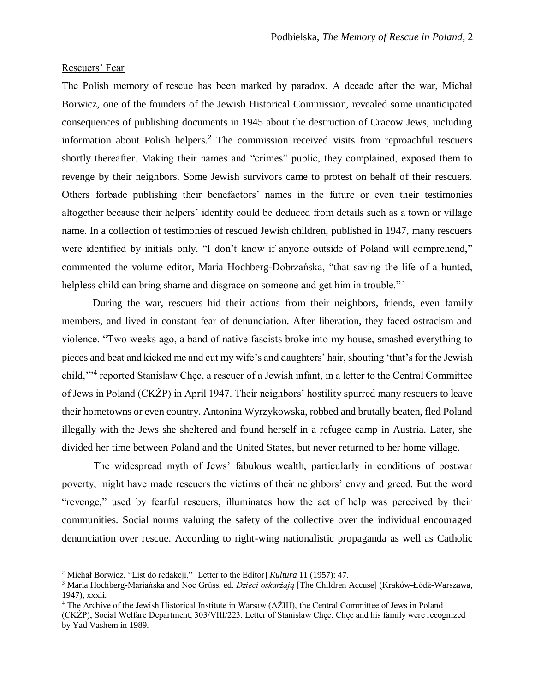# Rescuers' Fear

 $\overline{a}$ 

The Polish memory of rescue has been marked by paradox. A decade after the war, Michał Borwicz, one of the founders of the Jewish Historical Commission, revealed some unanticipated consequences of publishing documents in 1945 about the destruction of Cracow Jews, including information about Polish helpers.<sup>2</sup> The commission received visits from reproachful rescuers shortly thereafter. Making their names and "crimes" public, they complained, exposed them to revenge by their neighbors. Some Jewish survivors came to protest on behalf of their rescuers. Others forbade publishing their benefactors' names in the future or even their testimonies altogether because their helpers' identity could be deduced from details such as a town or village name. In a collection of testimonies of rescued Jewish children, published in 1947, many rescuers were identified by initials only. "I don't know if anyone outside of Poland will comprehend," commented the volume editor, Maria Hochberg-Dobrzańska, "that saving the life of a hunted, helpless child can bring shame and disgrace on someone and get him in trouble."<sup>3</sup>

During the war, rescuers hid their actions from their neighbors, friends, even family members, and lived in constant fear of denunciation. After liberation, they faced ostracism and violence. "Two weeks ago, a band of native fascists broke into my house, smashed everything to pieces and beat and kicked me and cut my wife's and daughters' hair, shouting 'that's for the Jewish child,'"<sup>4</sup> reported Stanisław Chęc, a rescuer of a Jewish infant, in a letter to the Central Committee of Jews in Poland (CKŻP) in April 1947. Their neighbors' hostility spurred many rescuers to leave their hometowns or even country. Antonina Wyrzykowska, robbed and brutally beaten, fled Poland illegally with the Jews she sheltered and found herself in a refugee camp in Austria. Later, she divided her time between Poland and the United States, but never returned to her home village.

The widespread myth of Jews' fabulous wealth, particularly in conditions of postwar poverty, might have made rescuers the victims of their neighbors' envy and greed. But the word "revenge," used by fearful rescuers, illuminates how the act of help was perceived by their communities. Social norms valuing the safety of the collective over the individual encouraged denunciation over rescue. According to right-wing nationalistic propaganda as well as Catholic

<sup>2</sup> Michał Borwicz, "List do redakcji," [Letter to the Editor] *Kultura* 11 (1957): 47.

<sup>3</sup> Maria Hochberg-Mariańska and Noe Grüss, ed. *Dzieci oskarżają* [The Children Accuse] (Kraków-Łódź-Warszawa, 1947), xxxii.

<sup>&</sup>lt;sup>4</sup> The Archive of the Jewish Historical Institute in Warsaw (AŻIH), the Central Committee of Jews in Poland

<sup>(</sup>CKŻP), Social Welfare Department, 303/VIII/223. Letter of Stanisław Chęc. Chęc and his family were recognized by Yad Vashem in 1989.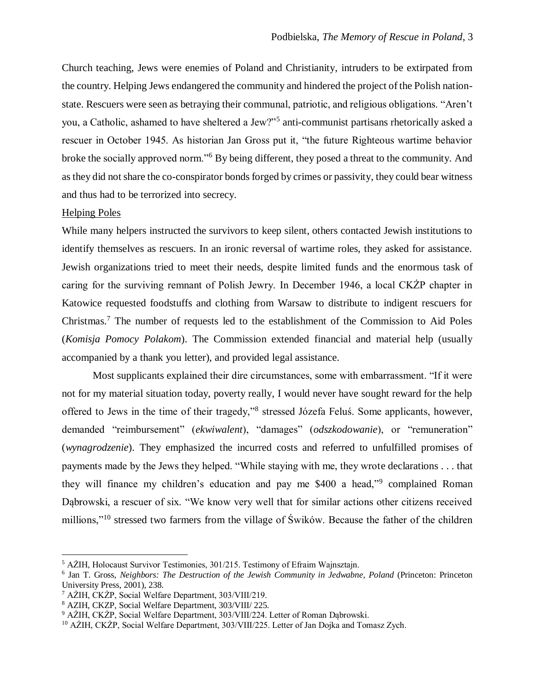Church teaching, Jews were enemies of Poland and Christianity, intruders to be extirpated from the country. Helping Jews endangered the community and hindered the project of the Polish nationstate. Rescuers were seen as betraying their communal, patriotic, and religious obligations. "Aren't you, a Catholic, ashamed to have sheltered a Jew?"<sup>5</sup> anti-communist partisans rhetorically asked a rescuer in October 1945. As historian Jan Gross put it, "the future Righteous wartime behavior broke the socially approved norm."<sup>6</sup> By being different, they posed a threat to the community. And as they did not share the co-conspirator bonds forged by crimes or passivity, they could bear witness and thus had to be terrorized into secrecy.

# Helping Poles

 $\overline{a}$ 

While many helpers instructed the survivors to keep silent, others contacted Jewish institutions to identify themselves as rescuers. In an ironic reversal of wartime roles, they asked for assistance. Jewish organizations tried to meet their needs, despite limited funds and the enormous task of caring for the surviving remnant of Polish Jewry. In December 1946, a local CKŻP chapter in Katowice requested foodstuffs and clothing from Warsaw to distribute to indigent rescuers for Christmas.<sup>7</sup> The number of requests led to the establishment of the Commission to Aid Poles (*Komisja Pomocy Polakom*). The Commission extended financial and material help (usually accompanied by a thank you letter), and provided legal assistance.

Most supplicants explained their dire circumstances, some with embarrassment. "If it were not for my material situation today, poverty really, I would never have sought reward for the help offered to Jews in the time of their tragedy,"<sup>8</sup> stressed Józefa Feluś. Some applicants, however, demanded "reimbursement" (*ekwiwalent*), "damages" (*odszkodowanie*), or "remuneration" (*wynagrodzenie*). They emphasized the incurred costs and referred to unfulfilled promises of payments made by the Jews they helped. "While staying with me, they wrote declarations . . . that they will finance my children's education and pay me \$400 a head,"<sup>9</sup> complained Roman Dąbrowski, a rescuer of six. "We know very well that for similar actions other citizens received millions,"<sup>10</sup> stressed two farmers from the village of Świków. Because the father of the children

<sup>5</sup> AŻIH, Holocaust Survivor Testimonies, 301/215. Testimony of Efraim Wajnsztajn.

<sup>6</sup> Jan T. Gross, *Neighbors: The Destruction of the Jewish Community in Jedwabne, Poland* (Princeton: Princeton University Press, 2001), 238.

<sup>7</sup> AŻIH, CKŻP, Social Welfare Department, 303/VIII/219.

<sup>8</sup> AZIH, CKZP, Social Welfare Department, 303/VIII/ 225.

<sup>9</sup> AŻIH, CKŻP, Social Welfare Department, 303/VIII/224. Letter of Roman Dąbrowski.

<sup>&</sup>lt;sup>10</sup> AŻIH, CKŻP, Social Welfare Department, 303/VIII/225. Letter of Jan Dojka and Tomasz Zych.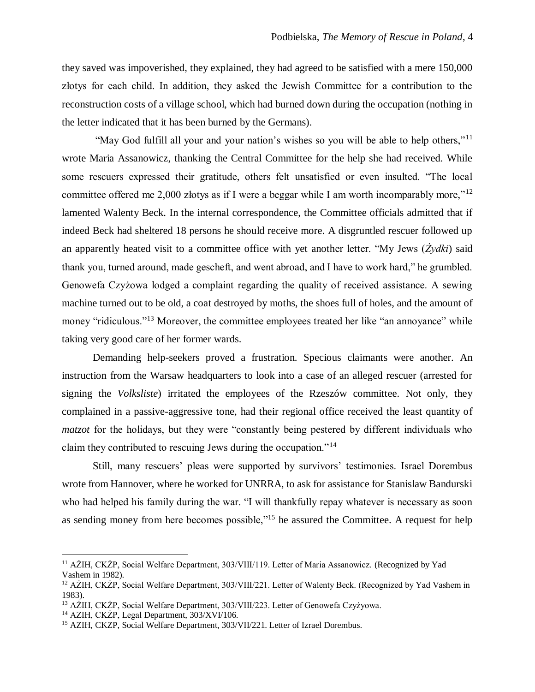they saved was impoverished, they explained, they had agreed to be satisfied with a mere 150,000 złotys for each child. In addition, they asked the Jewish Committee for a contribution to the reconstruction costs of a village school, which had burned down during the occupation (nothing in the letter indicated that it has been burned by the Germans).

"May God fulfill all your and your nation's wishes so you will be able to help others,"<sup>11</sup> wrote Maria Assanowicz, thanking the Central Committee for the help she had received. While some rescuers expressed their gratitude, others felt unsatisfied or even insulted. "The local committee offered me 2,000 złotys as if I were a beggar while I am worth incomparably more,"<sup>12</sup> lamented Walenty Beck. In the internal correspondence, the Committee officials admitted that if indeed Beck had sheltered 18 persons he should receive more. A disgruntled rescuer followed up an apparently heated visit to a committee office with yet another letter. "My Jews (*Żydki*) said thank you, turned around, made gescheft, and went abroad, and I have to work hard," he grumbled. Genowefa Czyżowa lodged a complaint regarding the quality of received assistance. A sewing machine turned out to be old, a coat destroyed by moths, the shoes full of holes, and the amount of money "ridiculous."<sup>13</sup> Moreover, the committee employees treated her like "an annoyance" while taking very good care of her former wards.

Demanding help-seekers proved a frustration. Specious claimants were another. An instruction from the Warsaw headquarters to look into a case of an alleged rescuer (arrested for signing the *Volksliste*) irritated the employees of the Rzeszów committee. Not only, they complained in a passive-aggressive tone, had their regional office received the least quantity of *matzot* for the holidays, but they were "constantly being pestered by different individuals who claim they contributed to rescuing Jews during the occupation."<sup>14</sup>

Still, many rescuers' pleas were supported by survivors' testimonies. Israel Dorembus wrote from Hannover, where he worked for UNRRA, to ask for assistance for Stanislaw Bandurski who had helped his family during the war. "I will thankfully repay whatever is necessary as soon as sending money from here becomes possible,"<sup>15</sup> he assured the Committee. A request for help

 $\overline{a}$ 

<sup>11</sup> AŻIH, CKŻP, Social Welfare Department, 303/VIII/119. Letter of Maria Assanowicz. (Recognized by Yad Vashem in 1982).

<sup>&</sup>lt;sup>12</sup> AŻIH, CKŻP, Social Welfare Department, 303/VIII/221. Letter of Walenty Beck. (Recognized by Yad Vashem in 1983).

<sup>13</sup> AŻIH, CKŻP, Social Welfare Department, 303/VIII/223. Letter of Genowefa Czyżyowa.

<sup>14</sup> AZIH, CKŻP, Legal Department, 303/XVI/106.

<sup>&</sup>lt;sup>15</sup> AZIH, CKZP, Social Welfare Department, 303/VII/221. Letter of Izrael Dorembus.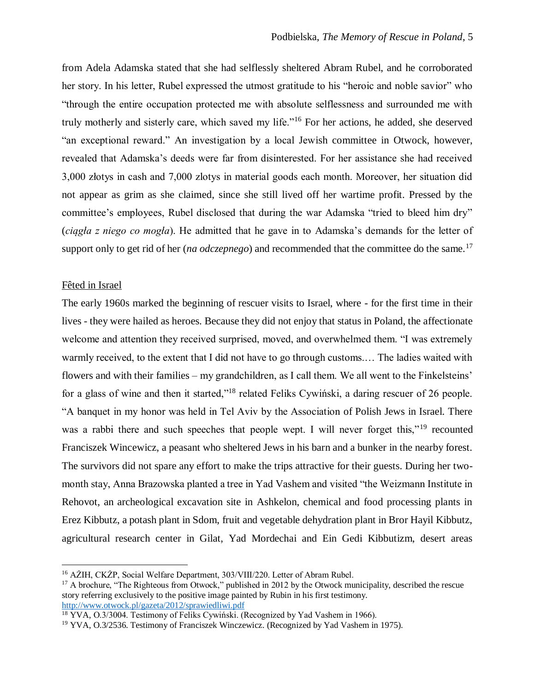from Adela Adamska stated that she had selflessly sheltered Abram Rubel, and he corroborated her story. In his letter, Rubel expressed the utmost gratitude to his "heroic and noble savior" who "through the entire occupation protected me with absolute selflessness and surrounded me with truly motherly and sisterly care, which saved my life."<sup>16</sup> For her actions, he added, she deserved "an exceptional reward." An investigation by a local Jewish committee in Otwock, however, revealed that Adamska's deeds were far from disinterested. For her assistance she had received 3,000 złotys in cash and 7,000 zlotys in material goods each month. Moreover, her situation did not appear as grim as she claimed, since she still lived off her wartime profit. Pressed by the committee's employees, Rubel disclosed that during the war Adamska "tried to bleed him dry" (*ciągła z niego co mogła*). He admitted that he gave in to Adamska's demands for the letter of support only to get rid of her (*na odczepnego*) and recommended that the committee do the same.<sup>17</sup>

#### Fêted in Israel

 $\overline{a}$ 

The early 1960s marked the beginning of rescuer visits to Israel, where - for the first time in their lives - they were hailed as heroes. Because they did not enjoy that status in Poland, the affectionate welcome and attention they received surprised, moved, and overwhelmed them. "I was extremely warmly received, to the extent that I did not have to go through customs.… The ladies waited with flowers and with their families – my grandchildren, as I call them. We all went to the Finkelsteins' for a glass of wine and then it started,"<sup>18</sup> related Feliks Cywiński, a daring rescuer of 26 people. "A banquet in my honor was held in Tel Aviv by the Association of Polish Jews in Israel. There was a rabbi there and such speeches that people wept. I will never forget this,"<sup>19</sup> recounted Franciszek Wincewicz, a peasant who sheltered Jews in his barn and a bunker in the nearby forest. The survivors did not spare any effort to make the trips attractive for their guests. During her twomonth stay, Anna Brazowska planted a tree in Yad Vashem and visited "the Weizmann Institute in Rehovot, an archeological excavation site in Ashkelon, chemical and food processing plants in Erez Kibbutz, a potash plant in Sdom, fruit and vegetable dehydration plant in Bror Hayil Kibbutz, agricultural research center in Gilat, Yad Mordechai and Ein Gedi Kibbutizm, desert areas

<sup>&</sup>lt;sup>16</sup> AŻIH, CKŻP, Social Welfare Department, 303/VIII/220. Letter of Abram Rubel.

<sup>&</sup>lt;sup>17</sup> A brochure, "The Righteous from Otwock," published in 2012 by the Otwock municipality, described the rescue story referring exclusively to the positive image painted by Rubin in his first testimony. <http://www.otwock.pl/gazeta/2012/sprawiedliwi.pdf>

 $18$  YVA, O.3/3004. Testimony of Feliks Cywiński. (Recognized by Yad Vashem in 1966).

<sup>&</sup>lt;sup>19</sup> YVA, O.3/2536. Testimony of Franciszek Winczewicz. (Recognized by Yad Vashem in 1975).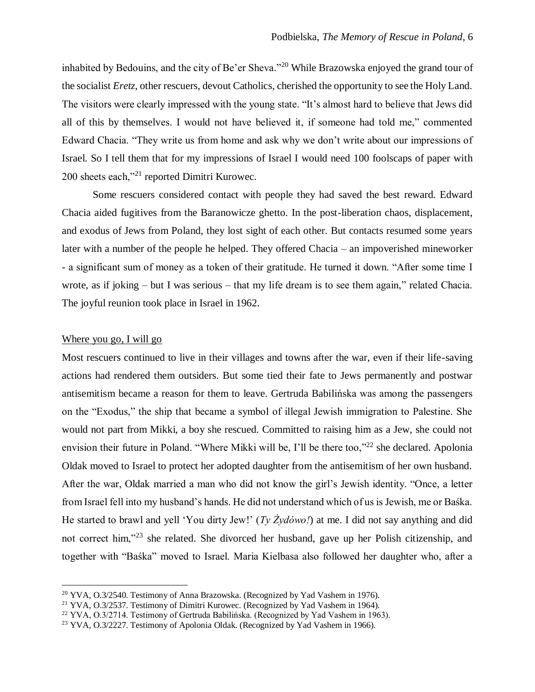inhabited by Bedouins, and the city of Be'er Sheva."<sup>20</sup> While Brazowska enjoyed the grand tour of the socialist *Eretz*, other rescuers, devout Catholics, cherished the opportunity to see the Holy Land. The visitors were clearly impressed with the young state. "It's almost hard to believe that Jews did all of this by themselves. I would not have believed it, if someone had told me," commented Edward Chacia. "They write us from home and ask why we don't write about our impressions of Israel. So I tell them that for my impressions of Israel I would need 100 foolscaps of paper with 200 sheets each,"<sup>21</sup> reported Dimitri Kurowec.

Some rescuers considered contact with people they had saved the best reward. Edward Chacia aided fugitives from the Baranowicze ghetto. In the post-liberation chaos, displacement, and exodus of Jews from Poland, they lost sight of each other. But contacts resumed some years later with a number of the people he helped. They offered Chacia – an impoverished mineworker - a significant sum of money as a token of their gratitude. He turned it down. "After some time I wrote, as if joking – but I was serious – that my life dream is to see them again," related Chacia. The joyful reunion took place in Israel in 1962.

### Where you go, I will go

 $\overline{a}$ 

Most rescuers continued to live in their villages and towns after the war, even if their life-saving actions had rendered them outsiders. But some tied their fate to Jews permanently and postwar antisemitism became a reason for them to leave. Gertruda Babilińska was among the passengers on the "Exodus," the ship that became a symbol of illegal Jewish immigration to Palestine. She would not part from Mikki, a boy she rescued. Committed to raising him as a Jew, she could not envision their future in Poland. "Where Mikki will be, I'll be there too,"<sup>22</sup> she declared. Apolonia Oldak moved to Israel to protect her adopted daughter from the antisemitism of her own husband. After the war, Oldak married a man who did not know the girl's Jewish identity. "Once, a letter from Israel fell into my husband's hands. He did not understand which of us is Jewish, me or Baśka. He started to brawl and yell 'You dirty Jew!' (*Ty Żydówo!*) at me. I did not say anything and did not correct him,"<sup>23</sup> she related. She divorced her husband, gave up her Polish citizenship, and together with "Baśka" moved to Israel. Maria Kielbasa also followed her daughter who, after a

<sup>&</sup>lt;sup>20</sup> YVA, O.3/2540. Testimony of Anna Brazowska. (Recognized by Yad Vashem in 1976).

<sup>21</sup> YVA, O.3/2537. Testimony of Dimitri Kurowec. (Recognized by Yad Vashem in 1964).

<sup>&</sup>lt;sup>22</sup> YVA, O.3/2714. Testimony of Gertruda Babilińska. (Recognized by Yad Vashem in 1963).

<sup>&</sup>lt;sup>23</sup> YVA, O.3/2227. Testimony of Apolonia Oldak. (Recognized by Yad Vashem in 1966).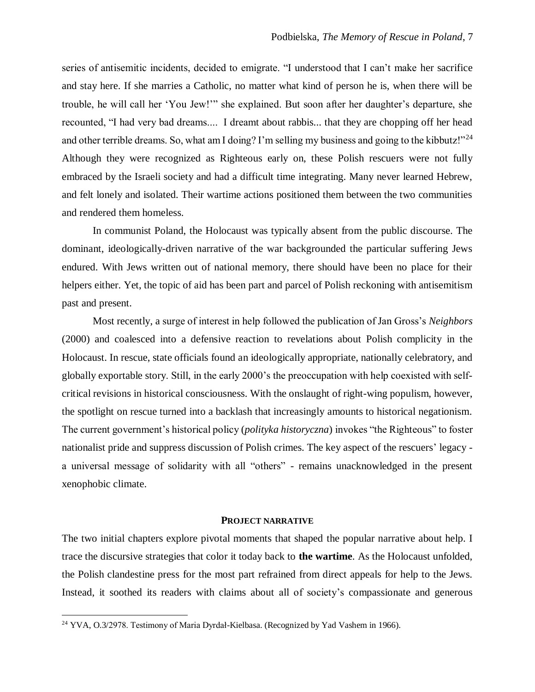series of antisemitic incidents, decided to emigrate. "I understood that I can't make her sacrifice and stay here. If she marries a Catholic, no matter what kind of person he is, when there will be trouble, he will call her 'You Jew!'" she explained. But soon after her daughter's departure, she recounted, "I had very bad dreams.... I dreamt about rabbis... that they are chopping off her head and other terrible dreams. So, what am I doing? I'm selling my business and going to the kibbutz!"<sup>24</sup> Although they were recognized as Righteous early on, these Polish rescuers were not fully embraced by the Israeli society and had a difficult time integrating. Many never learned Hebrew, and felt lonely and isolated. Their wartime actions positioned them between the two communities and rendered them homeless.

In communist Poland, the Holocaust was typically absent from the public discourse. The dominant, ideologically-driven narrative of the war backgrounded the particular suffering Jews endured. With Jews written out of national memory, there should have been no place for their helpers either. Yet, the topic of aid has been part and parcel of Polish reckoning with antisemitism past and present.

Most recently, a surge of interest in help followed the publication of Jan Gross's *Neighbors* (2000) and coalesced into a defensive reaction to revelations about Polish complicity in the Holocaust. In rescue, state officials found an ideologically appropriate, nationally celebratory, and globally exportable story. Still, in the early 2000's the preoccupation with help coexisted with selfcritical revisions in historical consciousness. With the onslaught of right-wing populism, however, the spotlight on rescue turned into a backlash that increasingly amounts to historical negationism. The current government's historical policy (*polityka historyczna*) invokes "the Righteous" to foster nationalist pride and suppress discussion of Polish crimes. The key aspect of the rescuers' legacy a universal message of solidarity with all "others" - remains unacknowledged in the present xenophobic climate.

### **PROJECT NARRATIVE**

The two initial chapters explore pivotal moments that shaped the popular narrative about help. I trace the discursive strategies that color it today back to **the wartime**. As the Holocaust unfolded, the Polish clandestine press for the most part refrained from direct appeals for help to the Jews. Instead, it soothed its readers with claims about all of society's compassionate and generous

 $\overline{a}$ 

<sup>24</sup> YVA, O.3/2978. Testimony of Maria Dyrdał-Kielbasa. (Recognized by Yad Vashem in 1966).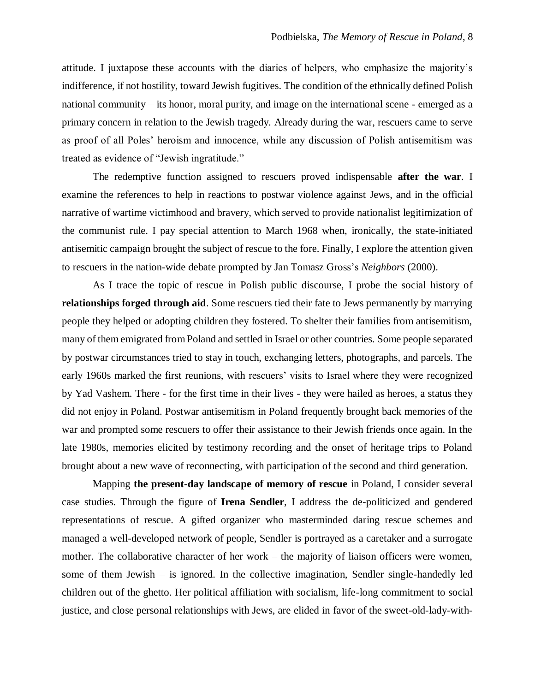attitude. I juxtapose these accounts with the diaries of helpers, who emphasize the majority's indifference, if not hostility, toward Jewish fugitives. The condition of the ethnically defined Polish national community – its honor, moral purity, and image on the international scene - emerged as a primary concern in relation to the Jewish tragedy. Already during the war, rescuers came to serve as proof of all Poles' heroism and innocence, while any discussion of Polish antisemitism was treated as evidence of "Jewish ingratitude."

The redemptive function assigned to rescuers proved indispensable **after the war**. I examine the references to help in reactions to postwar violence against Jews, and in the official narrative of wartime victimhood and bravery, which served to provide nationalist legitimization of the communist rule. I pay special attention to March 1968 when, ironically, the state-initiated antisemitic campaign brought the subject of rescue to the fore. Finally, I explore the attention given to rescuers in the nation-wide debate prompted by Jan Tomasz Gross's *Neighbors* (2000).

As I trace the topic of rescue in Polish public discourse, I probe the social history of **relationships forged through aid**. Some rescuers tied their fate to Jews permanently by marrying people they helped or adopting children they fostered. To shelter their families from antisemitism, many of them emigrated from Poland and settled in Israel or other countries. Some people separated by postwar circumstances tried to stay in touch, exchanging letters, photographs, and parcels. The early 1960s marked the first reunions, with rescuers' visits to Israel where they were recognized by Yad Vashem. There - for the first time in their lives - they were hailed as heroes, a status they did not enjoy in Poland. Postwar antisemitism in Poland frequently brought back memories of the war and prompted some rescuers to offer their assistance to their Jewish friends once again. In the late 1980s, memories elicited by testimony recording and the onset of heritage trips to Poland brought about a new wave of reconnecting, with participation of the second and third generation.

Mapping **the present-day landscape of memory of rescue** in Poland, I consider several case studies. Through the figure of **Irena Sendler**, I address the de-politicized and gendered representations of rescue. A gifted organizer who masterminded daring rescue schemes and managed a well-developed network of people, Sendler is portrayed as a caretaker and a surrogate mother. The collaborative character of her work – the majority of liaison officers were women, some of them Jewish – is ignored. In the collective imagination, Sendler single-handedly led children out of the ghetto. Her political affiliation with socialism, life-long commitment to social justice, and close personal relationships with Jews, are elided in favor of the sweet-old-lady-with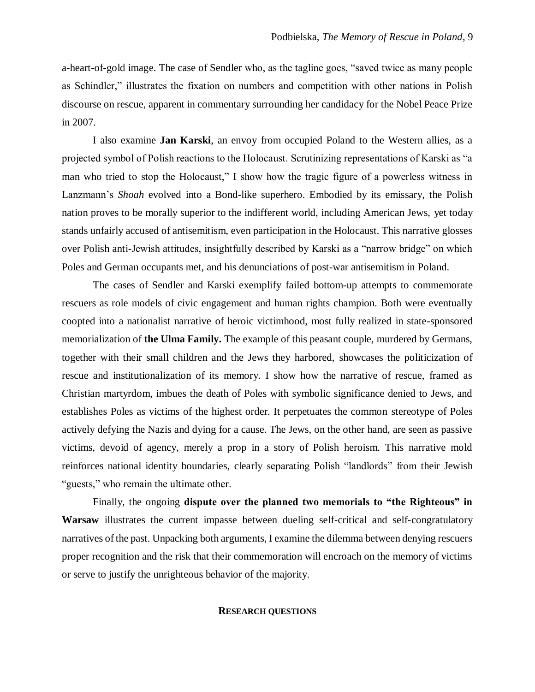a-heart-of-gold image. The case of Sendler who, as the tagline goes, "saved twice as many people as Schindler," illustrates the fixation on numbers and competition with other nations in Polish discourse on rescue, apparent in commentary surrounding her candidacy for the Nobel Peace Prize in 2007.

I also examine **Jan Karski**, an envoy from occupied Poland to the Western allies, as a projected symbol of Polish reactions to the Holocaust. Scrutinizing representations of Karski as "a man who tried to stop the Holocaust," I show how the tragic figure of a powerless witness in Lanzmann's *Shoah* evolved into a Bond-like superhero. Embodied by its emissary, the Polish nation proves to be morally superior to the indifferent world, including American Jews, yet today stands unfairly accused of antisemitism, even participation in the Holocaust. This narrative glosses over Polish anti-Jewish attitudes, insightfully described by Karski as a "narrow bridge" on which Poles and German occupants met, and his denunciations of post-war antisemitism in Poland.

The cases of Sendler and Karski exemplify failed bottom-up attempts to commemorate rescuers as role models of civic engagement and human rights champion. Both were eventually coopted into a nationalist narrative of heroic victimhood, most fully realized in state-sponsored memorialization of **the Ulma Family.** The example of this peasant couple, murdered by Germans, together with their small children and the Jews they harbored, showcases the politicization of rescue and institutionalization of its memory. I show how the narrative of rescue, framed as Christian martyrdom, imbues the death of Poles with symbolic significance denied to Jews, and establishes Poles as victims of the highest order. It perpetuates the common stereotype of Poles actively defying the Nazis and dying for a cause. The Jews, on the other hand, are seen as passive victims, devoid of agency, merely a prop in a story of Polish heroism. This narrative mold reinforces national identity boundaries, clearly separating Polish "landlords" from their Jewish "guests," who remain the ultimate other.

Finally, the ongoing **dispute over the planned two memorials to "the Righteous" in Warsaw** illustrates the current impasse between dueling self-critical and self-congratulatory narratives of the past. Unpacking both arguments, I examine the dilemma between denying rescuers proper recognition and the risk that their commemoration will encroach on the memory of victims or serve to justify the unrighteous behavior of the majority.

#### **RESEARCH QUESTIONS**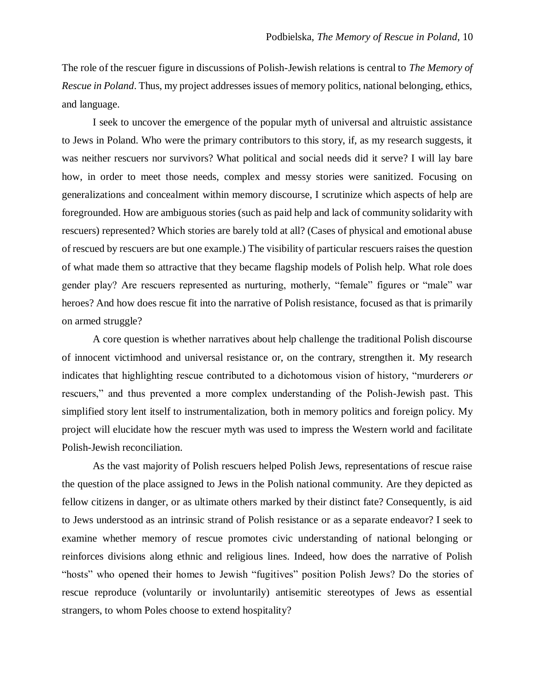The role of the rescuer figure in discussions of Polish-Jewish relations is central to *The Memory of Rescue in Poland*. Thus, my project addresses issues of memory politics, national belonging, ethics, and language.

I seek to uncover the emergence of the popular myth of universal and altruistic assistance to Jews in Poland. Who were the primary contributors to this story, if, as my research suggests, it was neither rescuers nor survivors? What political and social needs did it serve? I will lay bare how, in order to meet those needs, complex and messy stories were sanitized. Focusing on generalizations and concealment within memory discourse, I scrutinize which aspects of help are foregrounded. How are ambiguous stories (such as paid help and lack of community solidarity with rescuers) represented? Which stories are barely told at all? (Cases of physical and emotional abuse of rescued by rescuers are but one example.) The visibility of particular rescuers raises the question of what made them so attractive that they became flagship models of Polish help. What role does gender play? Are rescuers represented as nurturing, motherly, "female" figures or "male" war heroes? And how does rescue fit into the narrative of Polish resistance, focused as that is primarily on armed struggle?

A core question is whether narratives about help challenge the traditional Polish discourse of innocent victimhood and universal resistance or, on the contrary, strengthen it. My research indicates that highlighting rescue contributed to a dichotomous vision of history, "murderers *or* rescuers," and thus prevented a more complex understanding of the Polish-Jewish past. This simplified story lent itself to instrumentalization, both in memory politics and foreign policy. My project will elucidate how the rescuer myth was used to impress the Western world and facilitate Polish-Jewish reconciliation.

As the vast majority of Polish rescuers helped Polish Jews, representations of rescue raise the question of the place assigned to Jews in the Polish national community. Are they depicted as fellow citizens in danger, or as ultimate others marked by their distinct fate? Consequently, is aid to Jews understood as an intrinsic strand of Polish resistance or as a separate endeavor? I seek to examine whether memory of rescue promotes civic understanding of national belonging or reinforces divisions along ethnic and religious lines. Indeed, how does the narrative of Polish "hosts" who opened their homes to Jewish "fugitives" position Polish Jews? Do the stories of rescue reproduce (voluntarily or involuntarily) antisemitic stereotypes of Jews as essential strangers, to whom Poles choose to extend hospitality?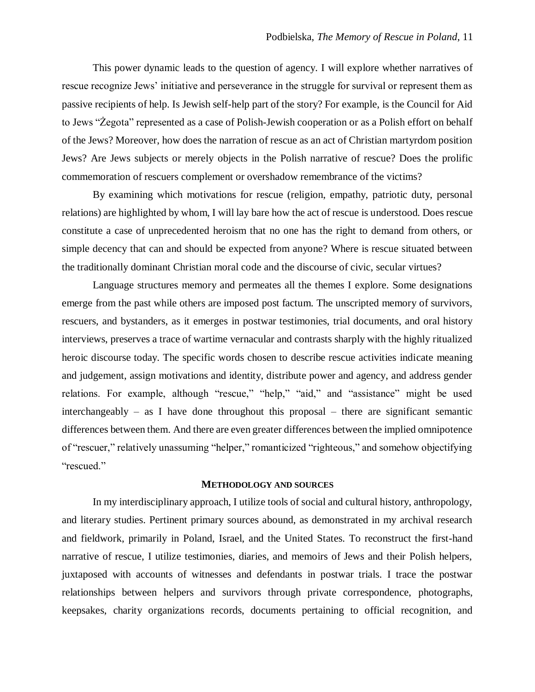This power dynamic leads to the question of agency. I will explore whether narratives of rescue recognize Jews' initiative and perseverance in the struggle for survival or represent them as passive recipients of help. Is Jewish self-help part of the story? For example, is the Council for Aid to Jews "Żegota" represented as a case of Polish-Jewish cooperation or as a Polish effort on behalf of the Jews? Moreover, how does the narration of rescue as an act of Christian martyrdom position Jews? Are Jews subjects or merely objects in the Polish narrative of rescue? Does the prolific commemoration of rescuers complement or overshadow remembrance of the victims?

By examining which motivations for rescue (religion, empathy, patriotic duty, personal relations) are highlighted by whom, I will lay bare how the act of rescue is understood. Does rescue constitute a case of unprecedented heroism that no one has the right to demand from others, or simple decency that can and should be expected from anyone? Where is rescue situated between the traditionally dominant Christian moral code and the discourse of civic, secular virtues?

Language structures memory and permeates all the themes I explore. Some designations emerge from the past while others are imposed post factum. The unscripted memory of survivors, rescuers, and bystanders, as it emerges in postwar testimonies, trial documents, and oral history interviews, preserves a trace of wartime vernacular and contrasts sharply with the highly ritualized heroic discourse today. The specific words chosen to describe rescue activities indicate meaning and judgement, assign motivations and identity, distribute power and agency, and address gender relations. For example, although "rescue," "help," "aid," and "assistance" might be used interchangeably – as I have done throughout this proposal – there are significant semantic differences between them. And there are even greater differences between the implied omnipotence of "rescuer," relatively unassuming "helper," romanticized "righteous," and somehow objectifying "rescued."

#### **METHODOLOGY AND SOURCES**

In my interdisciplinary approach, I utilize tools of social and cultural history, anthropology, and literary studies. Pertinent primary sources abound, as demonstrated in my archival research and fieldwork, primarily in Poland, Israel, and the United States. To reconstruct the first-hand narrative of rescue, I utilize testimonies, diaries, and memoirs of Jews and their Polish helpers, juxtaposed with accounts of witnesses and defendants in postwar trials. I trace the postwar relationships between helpers and survivors through private correspondence, photographs, keepsakes, charity organizations records, documents pertaining to official recognition, and